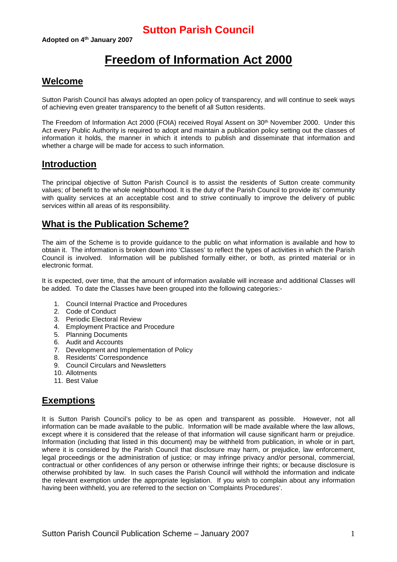# **Freedom of Information Act 2000**

### **Welcome**

Sutton Parish Council has always adopted an open policy of transparency, and will continue to seek ways of achieving even greater transparency to the benefit of all Sutton residents.

The Freedom of Information Act 2000 (FOIA) received Royal Assent on 30<sup>th</sup> November 2000. Under this Act every Public Authority is required to adopt and maintain a publication policy setting out the classes of information it holds, the manner in which it intends to publish and disseminate that information and whether a charge will be made for access to such information.

### **Introduction**

The principal objective of Sutton Parish Council is to assist the residents of Sutton create community values; of benefit to the whole neighbourhood. It is the duty of the Parish Council to provide its' community with quality services at an acceptable cost and to strive continually to improve the delivery of public services within all areas of its responsibility.

### **What is the Publication Scheme?**

The aim of the Scheme is to provide guidance to the public on what information is available and how to obtain it. The information is broken down into 'Classes' to reflect the types of activities in which the Parish Council is involved. Information will be published formally either, or both, as printed material or in electronic format.

It is expected, over time, that the amount of information available will increase and additional Classes will be added. To date the Classes have been grouped into the following categories:-

- 1. Council Internal Practice and Procedures
- 2. Code of Conduct
- 3. Periodic Electoral Review
- 4. Employment Practice and Procedure
- 5. Planning Documents
- 6. Audit and Accounts
- 7. Development and Implementation of Policy
- 8. Residents' Correspondence
- 9. Council Circulars and Newsletters
- 10. Allotments
- 11. Best Value

### **Exemptions**

It is Sutton Parish Council's policy to be as open and transparent as possible. However, not all information can be made available to the public. Information will be made available where the law allows, except where it is considered that the release of that information will cause significant harm or prejudice. Information (including that listed in this document) may be withheld from publication, in whole or in part, where it is considered by the Parish Council that disclosure may harm, or prejudice, law enforcement, legal proceedings or the administration of justice; or may infringe privacy and/or personal, commercial, contractual or other confidences of any person or otherwise infringe their rights; or because disclosure is otherwise prohibited by law. In such cases the Parish Council will withhold the information and indicate the relevant exemption under the appropriate legislation. If you wish to complain about any information having been withheld, you are referred to the section on 'Complaints Procedures'.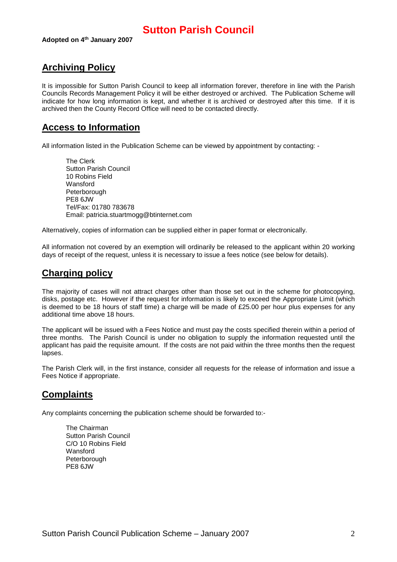## **Archiving Policy**

It is impossible for Sutton Parish Council to keep all information forever, therefore in line with the Parish Councils Records Management Policy it will be either destroyed or archived. The Publication Scheme will indicate for how long information is kept, and whether it is archived or destroyed after this time. If it is archived then the County Record Office will need to be contacted directly.

### **Access to Information**

All information listed in the Publication Scheme can be viewed by appointment by contacting: -

The Clerk Sutton Parish Council 10 Robins Field Wansford Peterborough PE8 6JW Tel/Fax: 01780 783678 Email: patricia.stuartmogg@btinternet.com

Alternatively, copies of information can be supplied either in paper format or electronically.

All information not covered by an exemption will ordinarily be released to the applicant within 20 working days of receipt of the request, unless it is necessary to issue a fees notice (see below for details).

### **Charging policy**

The majority of cases will not attract charges other than those set out in the scheme for photocopying, disks, postage etc. However if the request for information is likely to exceed the Appropriate Limit (which is deemed to be 18 hours of staff time) a charge will be made of £25.00 per hour plus expenses for any additional time above 18 hours.

The applicant will be issued with a Fees Notice and must pay the costs specified therein within a period of three months. The Parish Council is under no obligation to supply the information requested until the applicant has paid the requisite amount. If the costs are not paid within the three months then the request lapses.

The Parish Clerk will, in the first instance, consider all requests for the release of information and issue a Fees Notice if appropriate.

## **Complaints**

Any complaints concerning the publication scheme should be forwarded to:-

The Chairman Sutton Parish Council C/O 10 Robins Field **Wansford** Peterborough PE8 6JW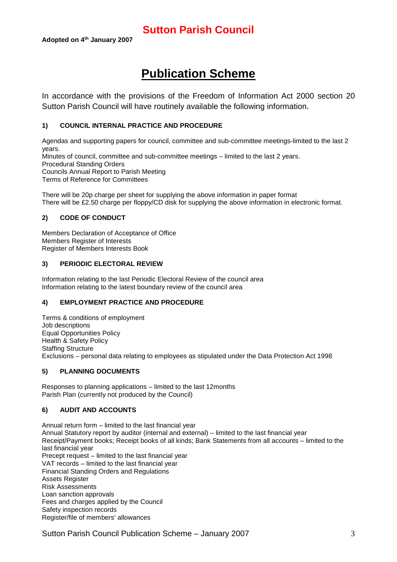# **Publication Scheme**

In accordance with the provisions of the Freedom of Information Act 2000 section 20 Sutton Parish Council will have routinely available the following information.

#### **1) COUNCIL INTERNAL PRACTICE AND PROCEDURE**

Agendas and supporting papers for council, committee and sub-committee meetings-limited to the last 2 years. Minutes of council, committee and sub-committee meetings – limited to the last 2 years. Procedural Standing Orders Councils Annual Report to Parish Meeting Terms of Reference for Committees

There will be 20p charge per sheet for supplying the above information in paper format There will be £2.50 charge per floppy/CD disk for supplying the above information in electronic format.

#### **2) CODE OF CONDUCT**

Members Declaration of Acceptance of Office Members Register of Interests Register of Members Interests Book

#### **3) PERIODIC ELECTORAL REVIEW**

Information relating to the last Periodic Electoral Review of the council area Information relating to the latest boundary review of the council area

#### **4) EMPLOYMENT PRACTICE AND PROCEDURE**

Terms & conditions of employment Job descriptions Equal Opportunities Policy Health & Safety Policy Staffing Structure Exclusions – personal data relating to employees as stipulated under the Data Protection Act 1998

#### **5) PLANNING DOCUMENTS**

Responses to planning applications – limited to the last 12months Parish Plan (currently not produced by the Council)

#### **6) AUDIT AND ACCOUNTS**

Annual return form – limited to the last financial year Annual Statutory report by auditor (internal and external) – limited to the last financial year Receipt/Payment books; Receipt books of all kinds; Bank Statements from all accounts – limited to the last financial year Precept request – limited to the last financial year VAT records – limited to the last financial year Financial Standing Orders and Regulations Assets Register Risk Assessments Loan sanction approvals Fees and charges applied by the Council Safety inspection records Register/file of members' allowances

Sutton Parish Council Publication Scheme – January 2007 3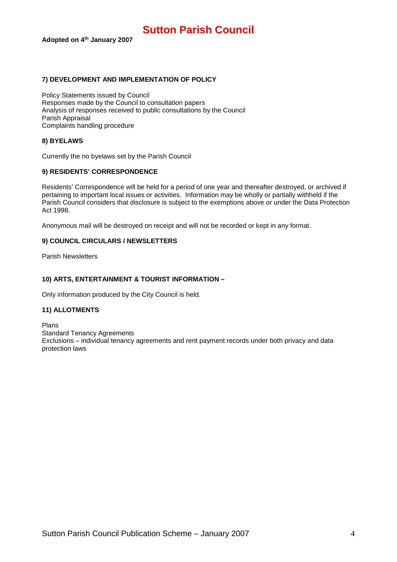#### **7) DEVELOPMENT AND IMPLEMENTATION OF POLICY**

Policy Statements issued by Council Responses made by the Council to consultation papers Analysis of responses received to public consultations by the Council Parish Appraisal Complaints handling procedure

#### **8) BYELAWS**

Currently the no byelaws set by the Parish Council

#### **9) RESIDENTS' CORRESPONDENCE**

Residents' Correspondence will be held for a period of one year and thereafter destroyed, or archived if pertaining to important local issues or activities. Information may be wholly or partially withheld if the Parish Council considers that disclosure is subject to the exemptions above or under the Data Protection Act 1998.

Anonymous mail will be destroyed on receipt and will not be recorded or kept in any format.

#### **9) COUNCIL CIRCULARS / NEWSLETTERS**

Parish Newsletters

#### **10) ARTS, ENTERTAINMENT & TOURIST INFORMATION –**

Only information produced by the City Council is held.

#### **11) ALLOTMENTS**

Plans Standard Tenancy Agreements Exclusions – individual tenancy agreements and rent payment records under both privacy and data protection laws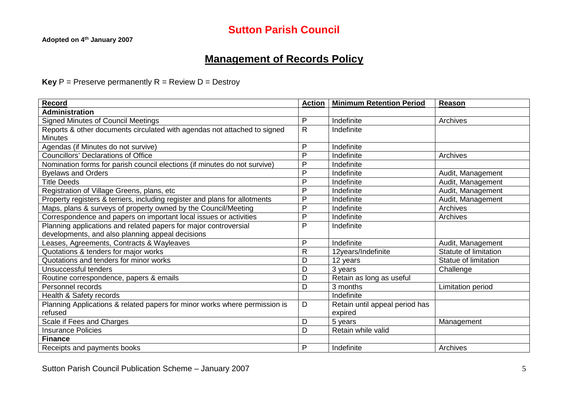## **Management of Records Policy**

**Key**  $P =$  Preserve permanently  $R =$  Review  $D =$  Destroy

| <b>Record</b>                                                              | <b>Action</b> | <b>Minimum Retention Period</b> | Reason                |
|----------------------------------------------------------------------------|---------------|---------------------------------|-----------------------|
| <b>Administration</b>                                                      |               |                                 |                       |
| <b>Signed Minutes of Council Meetings</b>                                  | P             | Indefinite                      | Archives              |
| Reports & other documents circulated with agendas not attached to signed   | $\mathsf{R}$  | Indefinite                      |                       |
| <b>Minutes</b>                                                             |               |                                 |                       |
| Agendas (if Minutes do not survive)                                        | P             | Indefinite                      |                       |
| <b>Councillors' Declarations of Office</b>                                 | P             | Indefinite                      | Archives              |
| Nomination forms for parish council elections (if minutes do not survive)  | P             | Indefinite                      |                       |
| <b>Byelaws and Orders</b>                                                  | P             | Indefinite                      | Audit, Management     |
| <b>Title Deeds</b>                                                         | $\mathsf{P}$  | Indefinite                      | Audit, Management     |
| Registration of Village Greens, plans, etc                                 | P             | Indefinite                      | Audit, Management     |
| Property registers & terriers, including register and plans for allotments | $\mathsf{P}$  | Indefinite                      | Audit, Management     |
| Maps, plans & surveys of property owned by the Council/Meeting             | $\mathsf{P}$  | Indefinite                      | Archives              |
| Correspondence and papers on important local issues or activities          | P             | Indefinite                      | Archives              |
| Planning applications and related papers for major controversial           | P             | Indefinite                      |                       |
| developments, and also planning appeal decisions                           |               |                                 |                       |
| Leases, Agreements, Contracts & Wayleaves                                  | $\mathsf{P}$  | Indefinite                      | Audit, Management     |
| Quotations & tenders for major works                                       | $\mathsf{R}$  | 12years/Indefinite              | Statute of limitation |
| Quotations and tenders for minor works                                     | D             | 12 years                        | Statue of limitation  |
| Unsuccessful tenders                                                       | D             | 3 years                         | Challenge             |
| Routine correspondence, papers & emails                                    | D             | Retain as long as useful        |                       |
| Personnel records                                                          | D             | 3 months                        | Limitation period     |
| Health & Safety records                                                    |               | Indefinite                      |                       |
| Planning Applications & related papers for minor works where permission is | D             | Retain until appeal period has  |                       |
| refused                                                                    |               | expired                         |                       |
| Scale if Fees and Charges                                                  | D             | 5 years                         | Management            |
| <b>Insurance Policies</b>                                                  | D             | Retain while valid              |                       |
| <b>Finance</b>                                                             |               |                                 |                       |
| Receipts and payments books                                                | P             | Indefinite                      | Archives              |